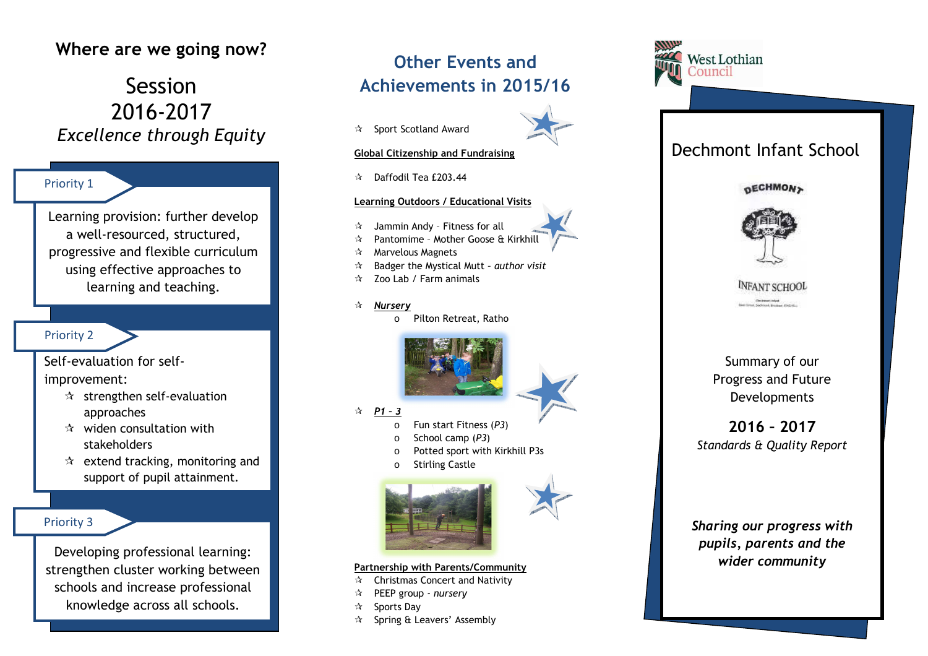## **Where are we going now?**

# Session 2016-2017*Excellence through Equity*

### Priority 1

Learning provision: further develop a well-resourced, structured, progressive and flexible curriculum using effective approaches to learning and teaching.

### Priority 2

Self-evaluation for selfimprovement:

- $\star$  strengthen self-evaluation approaches
- $\star$  widen consultation with stakeholders
- $\star$  extend tracking, monitoring and support of pupil attainment.

### Priority 3

Developing professional learning: strengthen cluster working between schools and increase professional knowledge across all schools.

# **Other Events andAchievements in 2015/16**

 $\mathbf{\hat{x}}$  Sport Scotland Award



### **Global Citizenship and Fundraising**

 $\approx$  Daffodil Tea £203.44

### **Learning Outdoors / Educational Visits**

- Jammin Andy Fitness for all
- Pantomime Mother Goose & Kirkhill
- $\mathcal{R}$  Marvelous Magnets<br> $\mathcal{R}$  Reduct the Mustical
- $\mathbf{\hat{x}}$ Badger the Mystical Mutt *– author visit*
- $\approx$  Zoo Lab / Farm animals
- $\mathbf{r}$  *Nursery*
	- oPilton Retreat, Ratho



*P1 – 3* 

- oFun start Fitness (*P3*)
- oSchool camp (*P3*)
- oPotted sport with Kirkhill P3s
- oStirling Castle





#### **Partnership with Parents/Community**

- \* Christmas Concert and Nativity<br>
THE REFR THE LITTLE REPORT
- PEEP group  *nursery*
- ☆ Sports Day
- ☆ Spring & Leavers' Assembly



## Dechmont Infant School





# **INFANT SCHOOL**

Summary of our Progress and Future Developments

### **2016 – 2017** *Standards & Quality Report*

*Sharing our progress with pupils, parents and the wider community*